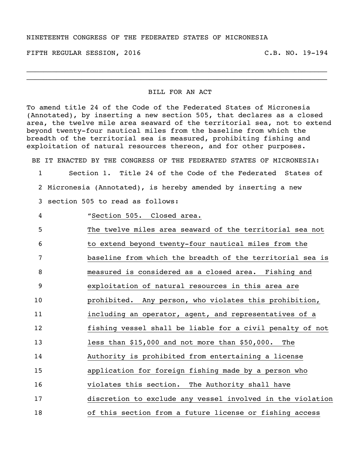## NINETEENTH CONGRESS OF THE FEDERATED STATES OF MICRONESIA

FIFTH REGULAR SESSION, 2016 C.B. NO. 19-194

## BILL FOR AN ACT

\_\_\_\_\_\_\_\_\_\_\_\_\_\_\_\_\_\_\_\_\_\_\_\_\_\_\_\_\_\_\_\_\_\_\_\_\_\_\_\_\_\_\_\_\_\_\_\_\_\_\_\_\_\_\_\_\_\_\_\_\_\_\_\_\_\_\_\_\_\_\_ \_\_\_\_\_\_\_\_\_\_\_\_\_\_\_\_\_\_\_\_\_\_\_\_\_\_\_\_\_\_\_\_\_\_\_\_\_\_\_\_\_\_\_\_\_\_\_\_\_\_\_\_\_\_\_\_\_\_\_\_\_\_\_\_\_\_\_\_\_\_\_

To amend title 24 of the Code of the Federated States of Micronesia (Annotated), by inserting a new section 505, that declares as a closed area, the twelve mile area seaward of the territorial sea, not to extend beyond twenty-four nautical miles from the baseline from which the breadth of the territorial sea is measured, prohibiting fishing and exploitation of natural resources thereon, and for other purposes.

BE IT ENACTED BY THE CONGRESS OF THE FEDERATED STATES OF MICRONESIA:

1 Section 1. Title 24 of the Code of the Federated States of 2 Micronesia (Annotated), is hereby amended by inserting a new 3 section 505 to read as follows:

4 "Section 505. Closed area.

| 5  | The twelve miles area seaward of the territorial sea not   |
|----|------------------------------------------------------------|
| 6  | to extend beyond twenty-four nautical miles from the       |
| 7  | baseline from which the breadth of the territorial sea is  |
| 8  | measured is considered as a closed area. Fishing and       |
| 9  | exploitation of natural resources in this area are         |
| 10 | prohibited. Any person, who violates this prohibition,     |
| 11 | including an operator, agent, and representatives of a     |
| 12 | fishing vessel shall be liable for a civil penalty of not  |
| 13 | less than \$15,000 and not more than \$50,000. The         |
| 14 | Authority is prohibited from entertaining a license        |
| 15 | application for foreign fishing made by a person who       |
| 16 | violates this section. The Authority shall have            |
| 17 | discretion to exclude any vessel involved in the violation |
| 18 | of this section from a future license or fishing access    |